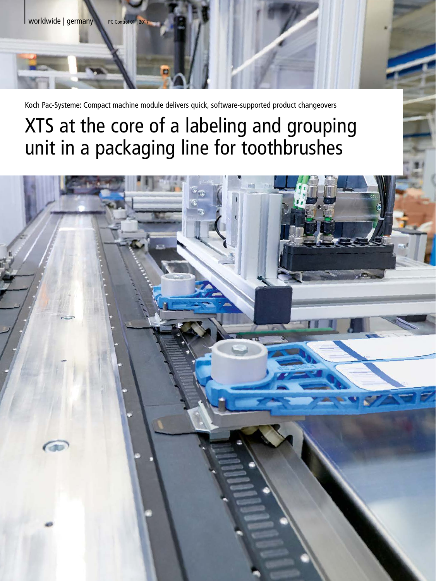

Koch Pac-Systeme: Compact machine module delivers quick, software-supported product changeovers

# XTS at the core of a labeling and grouping unit in a packaging line for toothbrushes

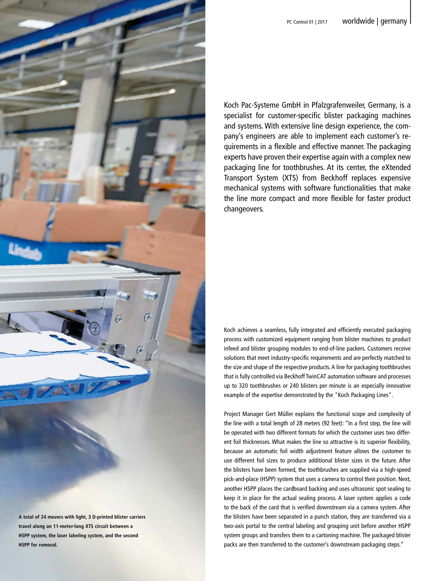

**HSPP for removal.**

| PC Control 01 | 2017 **worldwide | germany** 

Koch Pac-Systeme GmbH in Pfalzgrafenweiler, Germany, is a specialist for customer-specific blister packaging machines and systems. With extensive line design experience, the company's engineers are able to implement each customer's requirements in a flexible and effective manner. The packaging experts have proven their expertise again with a complex new packaging line for toothbrushes. At its center, the eXtended Transport System (XTS) from Beckhoff replaces expensive mechanical systems with software functionalities that make the line more compact and more flexible for faster product changeovers.

Koch achieves a seamless, fully integrated and efficiently executed packaging process with customized equipment ranging from blister machines to product infeed and blister grouping modules to end-of-line packers. Customers receive solutions that meet industry-specific requirements and are perfectly matched to the size and shape of the respective products. A line for packaging toothbrushes that is fully controlled via Beckhoff TwinCAT automation software and processes up to 320 toothbrushes or 240 blisters per minute is an especially innovative example of the expertise demonstrated by the "Koch Packaging Lines".

Project Manager Gert Müller explains the functional scope and complexity of the line with a total length of 28 meters (92 feet): "In a first step, the line will be operated with two different formats for which the customer uses two different foil thicknesses. What makes the line so attractive is its superior flexibility, because an automatic foil width adjustment feature allows the customer to use different foil sizes to produce additional blister sizes in the future. After the blisters have been formed, the toothbrushes are supplied via a high-speed pick-and-place (HSPP) system that uses a camera to control their position. Next, another HSPP places the cardboard backing and uses ultrasonic spot sealing to keep it in place for the actual sealing process. A laser system applies a code to the back of the card that is verified downstream via a camera system. After the blisters have been separated in a punch station, they are transferred via a two-axis portal to the central labeling and grouping unit before another HSPP system groups and transfers them to a cartoning machine. The packaged blister packs are then transferred to the customer's downstream packaging steps."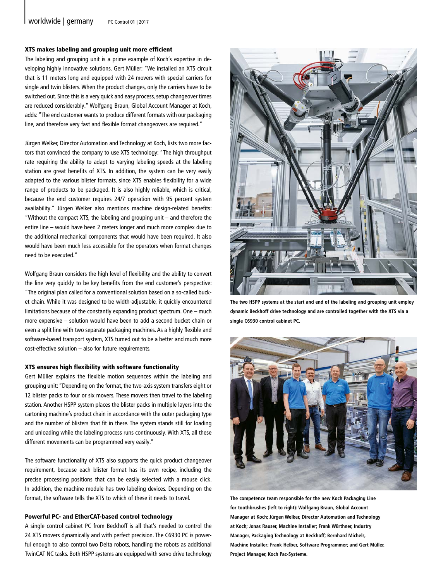#### XTS makes labeling and grouping unit more efficient

The labeling and grouping unit is a prime example of Koch's expertise in developing highly innovative solutions. Gert Müller: "We installed an XTS circuit that is 11 meters long and equipped with 24 movers with special carriers for single and twin blisters. When the product changes, only the carriers have to be switched out. Since this is a very quick and easy process, setup changeover times are reduced considerably." Wolfgang Braun, Global Account Manager at Koch, adds: "The end customer wants to produce different formats with our packaging line, and therefore very fast and flexible format changeovers are required."

Jürgen Welker, Director Automation and Technology at Koch, lists two more factors that convinced the company to use XTS technology: "The high throughput rate requiring the ability to adapt to varying labeling speeds at the labeling station are great benefits of XTS. In addition, the system can be very easily adapted to the various blister formats, since XTS enables flexibility for a wide range of products to be packaged. It is also highly reliable, which is critical, because the end customer requires 24/7 operation with 95 percent system availability." Jürgen Welker also mentions machine design-related benefits: "Without the compact XTS, the labeling and grouping unit – and therefore the entire line – would have been 2 meters longer and much more complex due to the additional mechanical components that would have been required. It also would have been much less accessible for the operators when format changes need to be executed."

Wolfgang Braun considers the high level of flexibility and the ability to convert the line very quickly to be key benefits from the end customer's perspective: "The original plan called for a conventional solution based on a so-called bucket chain. While it was designed to be width-adjustable, it quickly encountered limitations because of the constantly expanding product spectrum. One – much more expensive – solution would have been to add a second bucket chain or even a split line with two separate packaging machines. As a highly flexible and software-based transport system, XTS turned out to be a better and much more cost-effective solution – also for future requirements.

#### XTS ensures high flexibility with software functionality

Gert Müller explains the flexible motion sequences within the labeling and grouping unit: "Depending on the format, the two-axis system transfers eight or 12 blister packs to four or six movers. These movers then travel to the labeling station. Another HSPP system places the blister packs in multiple layers into the cartoning machine's product chain in accordance with the outer packaging type and the number of blisters that fit in there. The system stands still for loading and unloading while the labeling process runs continuously. With XTS, all these different movements can be programmed very easily."

The software functionality of XTS also supports the quick product changeover requirement, because each blister format has its own recipe, including the precise processing positions that can be easily selected with a mouse click. In addition, the machine module has two labeling devices. Depending on the format, the software tells the XTS to which of these it needs to travel.

#### Powerful PC- and EtherCAT-based control technology

A single control cabinet PC from Beckhoff is all that's needed to control the 24 XTS movers dynamically and with perfect precision. The C6930 PC is powerful enough to also control two Delta robots, handling the robots as additional TwinCAT NC tasks. Both HSPP systems are equipped with servo drive technology



**The two HSPP systems at the start and end of the labeling and grouping unit employ dynamic Beckhoff drive technology and are controlled together with the XTS via a single C6930 control cabinet PC.**



**The competence team responsible for the new Koch Packaging Line for toothbrushes (left to right): Wolfgang Braun, Global Account Manager at Koch; Jürgen Welker, Director Automation and Technology at Koch; Jonas Rauser, Machine Installer; Frank Würthner, Industry Manager, Packaging Technology at Beckhoff; Bernhard Michels, Machine Installer; Frank Helber, Software Programmer; and Gert Müller, Project Manager, Koch Pac-Systeme.**